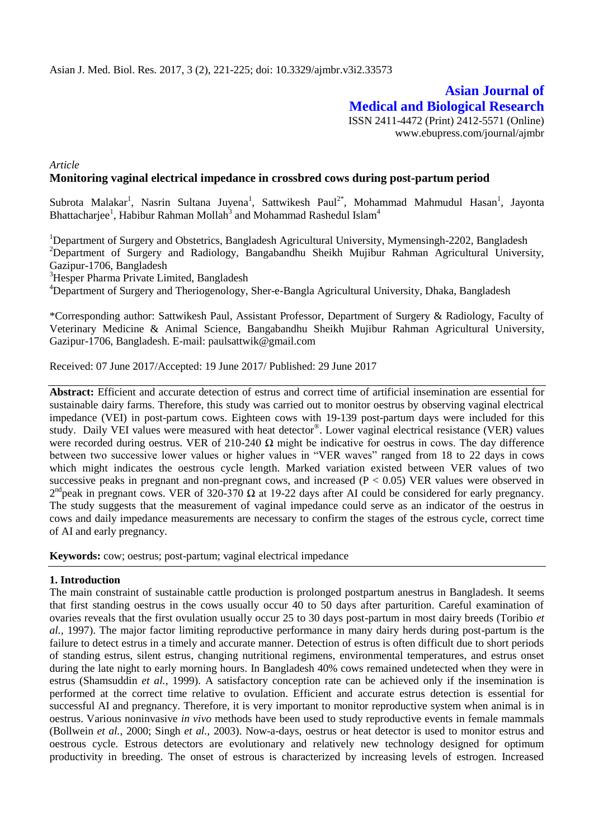# **Asian Journal of Medical and Biological Research** ISSN 2411-4472 (Print) 2412-5571 (Online)

www.ebupress.com/journal/ajmbr

*Article*

# **Monitoring vaginal electrical impedance in crossbred cows during post-partum period**

Subrota Malakar<sup>1</sup>, Nasrin Sultana Juyena<sup>1</sup>, Sattwikesh Paul<sup>2\*</sup>, Mohammad Mahmudul Hasan<sup>1</sup>, Jayonta Bhattacharjee<sup>1</sup>, Habibur Rahman Mollah<sup>3</sup> and Mohammad Rashedul Islam<sup>4</sup>

<sup>1</sup>Department of Surgery and Obstetrics, Bangladesh Agricultural University, Mymensingh-2202, Bangladesh <sup>2</sup>Department of Surgery and Radiology, Bangabandhu Sheikh Mujibur Rahman Agricultural University, Gazipur-1706, Bangladesh

<sup>3</sup>Hesper Pharma Private Limited, Bangladesh

<sup>4</sup>Department of Surgery and Theriogenology, Sher-e-Bangla Agricultural University, Dhaka, Bangladesh

\*Corresponding author: Sattwikesh Paul, Assistant Professor, Department of Surgery & Radiology, Faculty of Veterinary Medicine & Animal Science, Bangabandhu Sheikh Mujibur Rahman Agricultural University, Gazipur-1706, Bangladesh. E-mail: paulsattwik@gmail.com

Received: 07 June 2017/Accepted: 19 June 2017/ Published: 29 June 2017

**Abstract:** Efficient and accurate detection of estrus and correct time of artificial insemination are essential for sustainable dairy farms. Therefore, this study was carried out to monitor oestrus by observing vaginal electrical impedance (VEI) in post-partum cows. Eighteen cows with 19-139 post-partum days were included for this study. Daily VEI values were measured with heat detector®. Lower vaginal electrical resistance (VER) values were recorded during oestrus. VER of 210-240  $\Omega$  might be indicative for oestrus in cows. The day difference between two successive lower values or higher values in "VER waves" ranged from 18 to 22 days in cows which might indicates the oestrous cycle length. Marked variation existed between VER values of two successive peaks in pregnant and non-pregnant cows, and increased  $(P < 0.05)$  VER values were observed in  $2^{nd}$ peak in pregnant cows. VER of 320-370  $\Omega$  at 19-22 days after AI could be considered for early pregnancy. The study suggests that the measurement of vaginal impedance could serve as an indicator of the oestrus in cows and daily impedance measurements are necessary to confirm the stages of the estrous cycle, correct time of AI and early pregnancy.

**Keywords:** cow; oestrus; post-partum; vaginal electrical impedance

### **1. Introduction**

The main constraint of sustainable cattle production is prolonged postpartum anestrus in Bangladesh. It seems that first standing oestrus in the cows usually occur 40 to 50 days after parturition. Careful examination of ovaries reveals that the first ovulation usually occur 25 to 30 days post-partum in most dairy breeds (Toribio *et al.,* 1997). The major factor limiting reproductive performance in many dairy herds during post-partum is the failure to detect estrus in a timely and accurate manner. Detection of estrus is often difficult due to short periods of standing estrus, silent estrus, changing nutritional regimens, environmental temperatures, and estrus onset during the late night to early morning hours. In Bangladesh 40% cows remained undetected when they were in estrus (Shamsuddin *et al.,* 1999). A satisfactory conception rate can be achieved only if the insemination is performed at the correct time relative to ovulation. Efficient and accurate estrus detection is essential for successful AI and pregnancy. Therefore, it is very important to monitor reproductive system when animal is in oestrus. Various noninvasive *in vivo* methods have been used to study reproductive events in female mammals (Bollwein *et al.,* 2000; Singh *et al.,* 2003). Now-a-days, oestrus or heat detector is used to monitor estrus and oestrous cycle. Estrous detectors are evolutionary and relatively new technology designed for optimum productivity in breeding. The onset of estrous is characterized by increasing levels of estrogen. Increased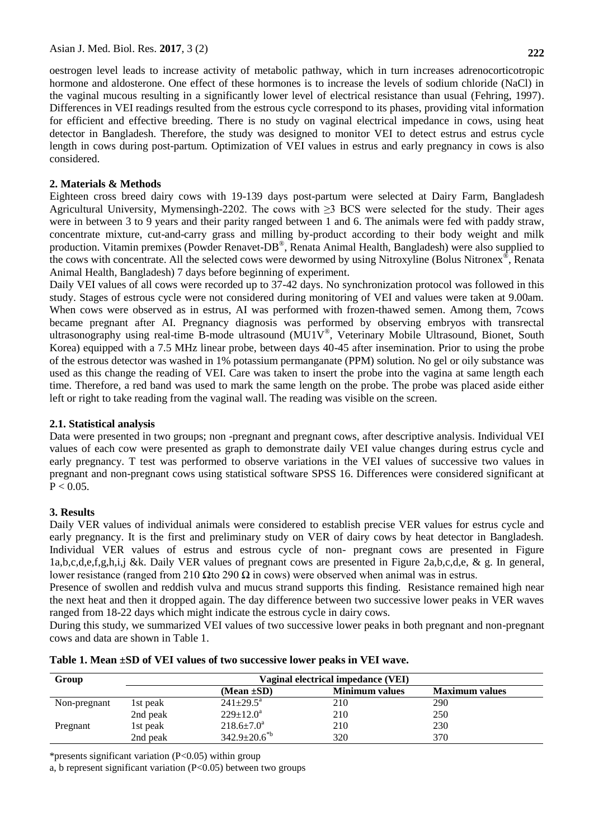oestrogen level leads to increase activity of metabolic pathway, which in turn increases adrenocorticotropic hormone and aldosterone. One effect of these hormones is to increase the levels of sodium chloride (NaCl) in the vaginal mucous resulting in a significantly lower level of electrical resistance than usual (Fehring, 1997). Differences in VEI readings resulted from the estrous cycle correspond to its phases, providing vital information for efficient and effective breeding. There is no study on vaginal electrical impedance in cows, using heat detector in Bangladesh. Therefore, the study was designed to monitor VEI to detect estrus and estrus cycle length in cows during post-partum. Optimization of VEI values in estrus and early pregnancy in cows is also considered.

# **2. Materials & Methods**

Eighteen cross breed dairy cows with 19-139 days post-partum were selected at Dairy Farm, Bangladesh Agricultural University, Mymensingh-2202. The cows with  $\geq$ 3 BCS were selected for the study. Their ages were in between 3 to 9 years and their parity ranged between 1 and 6. The animals were fed with paddy straw, concentrate mixture, cut-and-carry grass and milling by-product according to their body weight and milk production. Vitamin premixes (Powder Renavet-DB®, Renata Animal Health, Bangladesh) were also supplied to the cows with concentrate. All the selected cows were dewormed by using Nitroxyline (Bolus Nitronex®, Renata Animal Health, Bangladesh) 7 days before beginning of experiment.

Daily VEI values of all cows were recorded up to 37-42 days. No synchronization protocol was followed in this study. Stages of estrous cycle were not considered during monitoring of VEI and values were taken at 9.00am. When cows were observed as in estrus, AI was performed with frozen-thawed semen. Among them, 7cows became pregnant after AI. Pregnancy diagnosis was performed by observing embryos with transrectal ultrasonography using real-time B-mode ultrasound (MU1V®, Veterinary Mobile Ultrasound, Bionet, South Korea) equipped with a 7.5 MHz linear probe, between days 40-45 after insemination. Prior to using the probe of the estrous detector was washed in 1% potassium permanganate (PPM) solution. No gel or oily substance was used as this change the reading of VEI. Care was taken to insert the probe into the vagina at same length each time. Therefore, a red band was used to mark the same length on the probe. The probe was placed aside either left or right to take reading from the vaginal wall. The reading was visible on the screen.

## **2.1. Statistical analysis**

Data were presented in two groups; non -pregnant and pregnant cows, after descriptive analysis. Individual VEI values of each cow were presented as graph to demonstrate daily VEI value changes during estrus cycle and early pregnancy. T test was performed to observe variations in the VEI values of successive two values in pregnant and non-pregnant cows using statistical software SPSS 16. Differences were considered significant at  $P < 0.05$ .

### **3. Results**

Daily VER values of individual animals were considered to establish precise VER values for estrus cycle and early pregnancy. It is the first and preliminary study on VER of dairy cows by heat detector in Bangladesh. Individual VER values of estrus and estrous cycle of non- pregnant cows are presented in Figure 1a,b,c,d,e,f,g,h,i,j &k. Daily VER values of pregnant cows are presented in Figure 2a,b,c,d,e, & g. In general, lower resistance (ranged from 210 Ωto 290  $\Omega$  in cows) were observed when animal was in estrus.

Presence of swollen and reddish vulva and mucus strand supports this finding. Resistance remained high near the next heat and then it dropped again. The day difference between two successive lower peaks in VER waves ranged from 18-22 days which might indicate the estrous cycle in dairy cows.

During this study, we summarized VEI values of two successive lower peaks in both pregnant and non-pregnant cows and data are shown in Table 1.

| Group        | Vaginal electrical impedance (VEI) |                              |                       |                       |
|--------------|------------------------------------|------------------------------|-----------------------|-----------------------|
|              |                                    | (Mean $\pm SD$ )             | <b>Minimum values</b> | <b>Maximum values</b> |
| Non-pregnant | 1st peak                           | $241 \pm 29.5^{\text{a}}$    | 210                   | 290                   |
|              | 2nd peak                           | $229 \pm 12.0^a$             | 210                   | 250                   |
| Pregnant     | 1st peak                           | $218.6 \pm 7.0^{\circ}$      | 210                   | 230                   |
|              | 2nd peak                           | $342.9 \pm 20.6^{\text{sb}}$ | 320                   | 370                   |

| Table 1. Mean ±SD of VEI values of two successive lower peaks in VEI wave. |  |  |
|----------------------------------------------------------------------------|--|--|
|                                                                            |  |  |

\*presents significant variation (P<0.05) within group

a, b represent significant variation (P<0.05) between two groups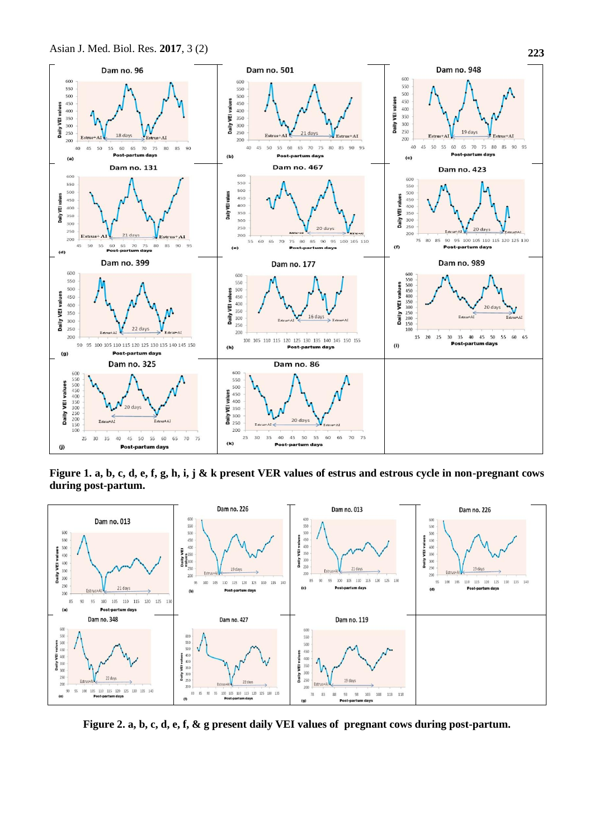

**Figure 1. a, b, c, d, e, f, g, h, i, j & k present VER values of estrus and estrous cycle in non-pregnant cows during post-partum.**



**Figure 2. a, b, c, d, e, f, & g present daily VEI values of pregnant cows during post-partum.**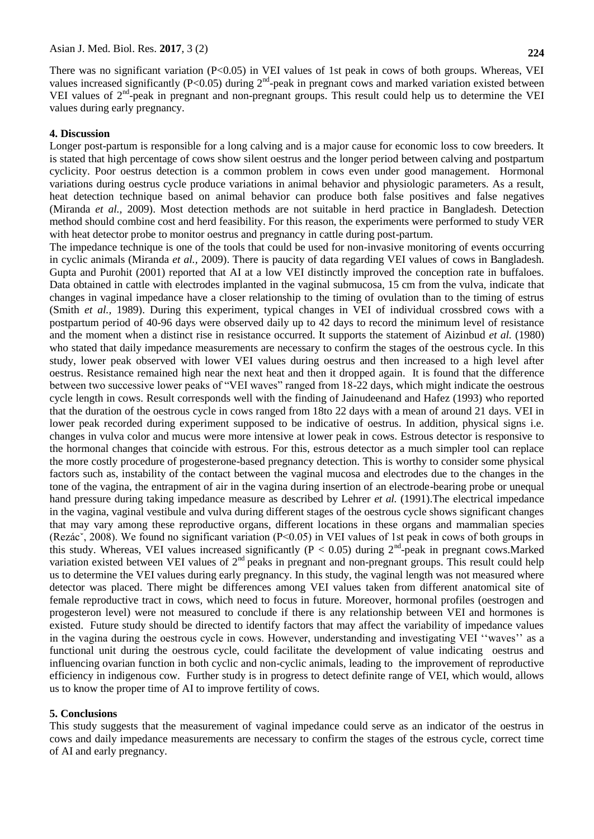There was no significant variation (P<0.05) in VEI values of 1st peak in cows of both groups. Whereas, VEI values increased significantly (P<0.05) during  $2<sup>nd</sup>$ -peak in pregnant cows and marked variation existed between VEI values of  $2<sup>nd</sup>$ -peak in pregnant and non-pregnant groups. This result could help us to determine the VEI values during early pregnancy.

#### **4. Discussion**

Longer post-partum is responsible for a long calving and is a major cause for economic loss to cow breeders. It is stated that high percentage of cows show silent oestrus and the longer period between calving and postpartum cyclicity. Poor oestrus detection is a common problem in cows even under good management. Hormonal variations during oestrus cycle produce variations in animal behavior and physiologic parameters. As a result, heat detection technique based on animal behavior can produce both false positives and false negatives (Miranda *et al.,* 2009). Most detection methods are not suitable in herd practice in Bangladesh. Detection method should combine cost and herd feasibility. For this reason, the experiments were performed to study VER with heat detector probe to monitor oestrus and pregnancy in cattle during post-partum.

The impedance technique is one of the tools that could be used for non-invasive monitoring of events occurring in cyclic animals (Miranda *et al.,* 2009). There is paucity of data regarding VEI values of cows in Bangladesh. Gupta and Purohit (2001) reported that AI at a low VEI distinctly improved the conception rate in buffaloes. Data obtained in cattle with electrodes implanted in the vaginal submucosa, 15 cm from the vulva, indicate that changes in vaginal impedance have a closer relationship to the timing of ovulation than to the timing of estrus (Smith *et al.,* 1989). During this experiment, typical changes in VEI of individual crossbred cows with a postpartum period of 40-96 days were observed daily up to 42 days to record the minimum level of resistance and the moment when a distinct rise in resistance occurred. It supports the statement of Aizinbud *et al.* (1980) who stated that daily impedance measurements are necessary to confirm the stages of the oestrous cycle. In this study, lower peak observed with lower VEI values during oestrus and then increased to a high level after oestrus. Resistance remained high near the next heat and then it dropped again. It is found that the difference between two successive lower peaks of "VEI waves" ranged from 18-22 days, which might indicate the oestrous cycle length in cows. Result corresponds well with the finding of Jainudeenand and Hafez (1993) who reported that the duration of the oestrous cycle in cows ranged from 18to 22 days with a mean of around 21 days. VEI in lower peak recorded during experiment supposed to be indicative of oestrus. In addition, physical signs i.e. changes in vulva color and mucus were more intensive at lower peak in cows. Estrous detector is responsive to the hormonal changes that coincide with estrous. For this, estrous detector as a much simpler tool can replace the more costly procedure of progesterone-based pregnancy detection. This is worthy to consider some physical factors such as, instability of the contact between the vaginal mucosa and electrodes due to the changes in the tone of the vagina, the entrapment of air in the vagina during insertion of an electrode-bearing probe or unequal hand pressure during taking impedance measure as described by Lehrer *et al.* (1991).The electrical impedance in the vagina, vaginal vestibule and vulva during different stages of the oestrous cycle shows significant changes that may vary among these reproductive organs, different locations in these organs and mammalian species (Rezácˇ, 2008). We found no significant variation (P<0.05) in VEI values of 1st peak in cows of both groups in this study. Whereas, VEI values increased significantly ( $P < 0.05$ ) during  $2<sup>nd</sup>$ -peak in pregnant cows.Marked variation existed between VEI values of  $2<sup>nd</sup>$  peaks in pregnant and non-pregnant groups. This result could help us to determine the VEI values during early pregnancy. In this study, the vaginal length was not measured where detector was placed. There might be differences among VEI values taken from different anatomical site of female reproductive tract in cows, which need to focus in future. Moreover, hormonal profiles (oestrogen and progesteron level) were not measured to conclude if there is any relationship between VEI and hormones is existed. Future study should be directed to identify factors that may affect the variability of impedance values in the vagina during the oestrous cycle in cows. However, understanding and investigating VEI ""waves"" as a functional unit during the oestrous cycle, could facilitate the development of value indicating oestrus and influencing ovarian function in both cyclic and non-cyclic animals, leading to the improvement of reproductive efficiency in indigenous cow. Further study is in progress to detect definite range of VEI, which would, allows us to know the proper time of AI to improve fertility of cows.

#### **5. Conclusions**

This study suggests that the measurement of vaginal impedance could serve as an indicator of the oestrus in cows and daily impedance measurements are necessary to confirm the stages of the estrous cycle, correct time of AI and early pregnancy.